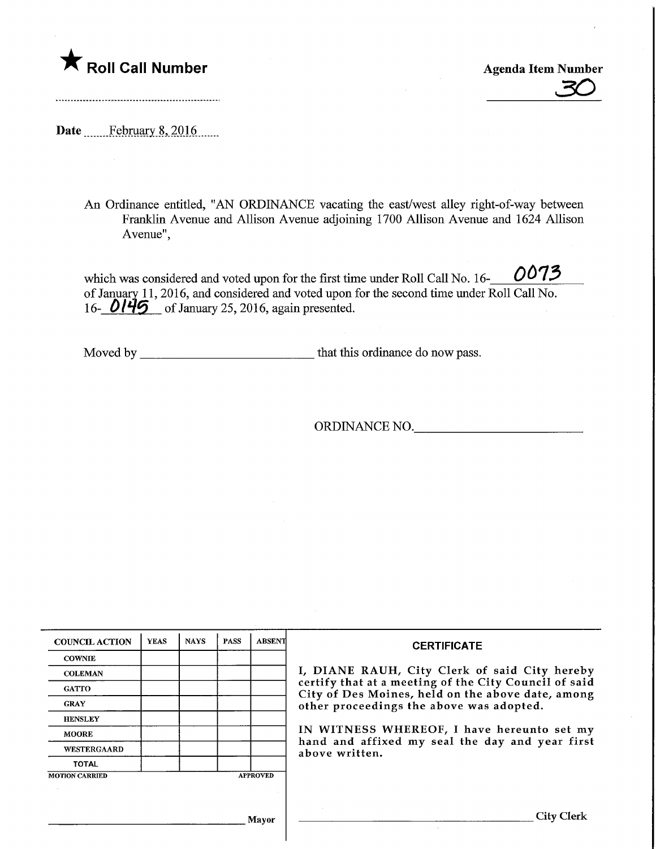

Roll Call Number<br>
20

Date ........Febmary.8,.2016.

An Ordinance entitled, "AN ORDINANCE vacating the east/west alley right-of-way between Franklin Avenue and Allison Avenue adjoining 1700 Allison Avenue and 1624 Allison Avenue",

0073 which was considered and voted upon for the first time under Roll Call No. 16of January 11,2016, and considered and voted upon for the second time under Roll Call No. 16-  $0145$  of January 25, 2016, again presented.

Moved by that this ordinance do now pass.

ORDINANCE NO.

| <b>COUNCIL ACTION</b> | <b>YEAS</b> | <b>NAYS</b> | <b>PASS</b> | <b>ABSENT</b>   | <b>CERTIFICATE</b>                                                                                                                                          |  |  |  |
|-----------------------|-------------|-------------|-------------|-----------------|-------------------------------------------------------------------------------------------------------------------------------------------------------------|--|--|--|
| <b>COWNIE</b>         |             |             |             |                 |                                                                                                                                                             |  |  |  |
| <b>COLEMAN</b>        |             |             |             |                 | I, DIANE RAUH, City Clerk of said City hereby<br>certify that at a meeting of the City Council of said<br>City of Des Moines, held on the above date, among |  |  |  |
| <b>GATTO</b>          |             |             |             |                 |                                                                                                                                                             |  |  |  |
| <b>GRAY</b>           |             |             |             |                 | other proceedings the above was adopted.                                                                                                                    |  |  |  |
| <b>HENSLEY</b>        |             |             |             |                 |                                                                                                                                                             |  |  |  |
| <b>MOORE</b>          |             |             |             |                 | IN WITNESS WHEREOF, I have hereunto set my<br>hand and affixed my seal the day and year first                                                               |  |  |  |
| <b>WESTERGAARD</b>    |             |             |             | above written.  |                                                                                                                                                             |  |  |  |
| <b>TOTAL</b>          |             |             |             |                 |                                                                                                                                                             |  |  |  |
| <b>MOTION CARRIED</b> |             |             |             | <b>APPROVED</b> |                                                                                                                                                             |  |  |  |
|                       |             |             |             |                 |                                                                                                                                                             |  |  |  |
|                       |             |             |             |                 |                                                                                                                                                             |  |  |  |
|                       |             |             |             | Mayor           | City Clerk                                                                                                                                                  |  |  |  |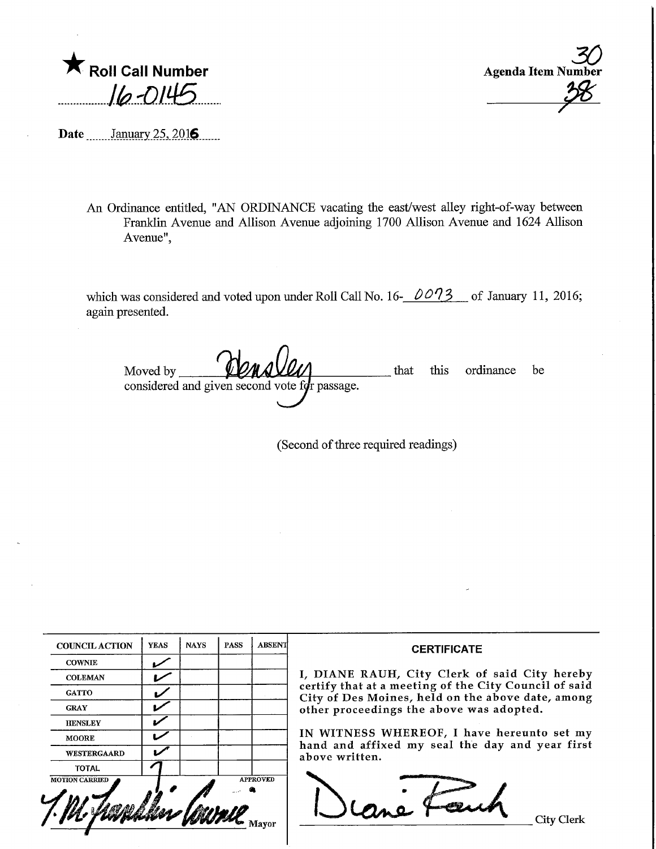**K** Roll Call Number  $16 - 014$ 

Agenda Item N  $\mathcal{Z}$ <sub>mber</sub>  $-38$ 

Date \_\_\_\_\_\_ January 25, 2016

An Ordinance entitled, "AN ORDINANCE vacating the east/west alley right-of-way between Franklin Avenue and Allison Avenue adjoining 1700 Allison Avenue and 1624 Allison Avenue",

which was considered and voted upon under Roll Call No. 16- $0.073$  of January 11, 2016; again presented.

Moved by considered and given second vote  $f$ g passage. that this ordinance be

(Second of three required readings)

| <b>COUNCIL ACTION</b> | <b>YEAS</b> | <b>NAYS</b> | <b>PASS</b> | <b>ABSENT</b>   | <b>CERTIFICATE</b>                                                                                                                                                                                                                                                                                                         |
|-----------------------|-------------|-------------|-------------|-----------------|----------------------------------------------------------------------------------------------------------------------------------------------------------------------------------------------------------------------------------------------------------------------------------------------------------------------------|
| <b>COWNIE</b>         |             |             |             |                 |                                                                                                                                                                                                                                                                                                                            |
| <b>COLEMAN</b>        |             |             |             |                 | I, DIANE RAUH, City Clerk of said City hereby<br>certify that at a meeting of the City Council of said<br>City of Des Moines, held on the above date, among<br>other proceedings the above was adopted.<br>IN WITNESS WHEREOF, I have hereunto set my<br>hand and affixed my seal the day and year first<br>above written. |
| <b>GATTO</b>          | M           |             |             |                 |                                                                                                                                                                                                                                                                                                                            |
| <b>GRAY</b>           |             |             |             |                 |                                                                                                                                                                                                                                                                                                                            |
| <b>HENSLEY</b>        | ✔           |             |             |                 |                                                                                                                                                                                                                                                                                                                            |
| <b>MOORE</b>          | ້           |             |             |                 |                                                                                                                                                                                                                                                                                                                            |
| <b>WESTERGAARD</b>    |             |             |             |                 |                                                                                                                                                                                                                                                                                                                            |
| <b>TOTAL</b>          |             |             |             |                 |                                                                                                                                                                                                                                                                                                                            |
| <b>MOTION CARRIED</b> |             |             |             | <b>APPROVED</b> | Lity Clerk                                                                                                                                                                                                                                                                                                                 |